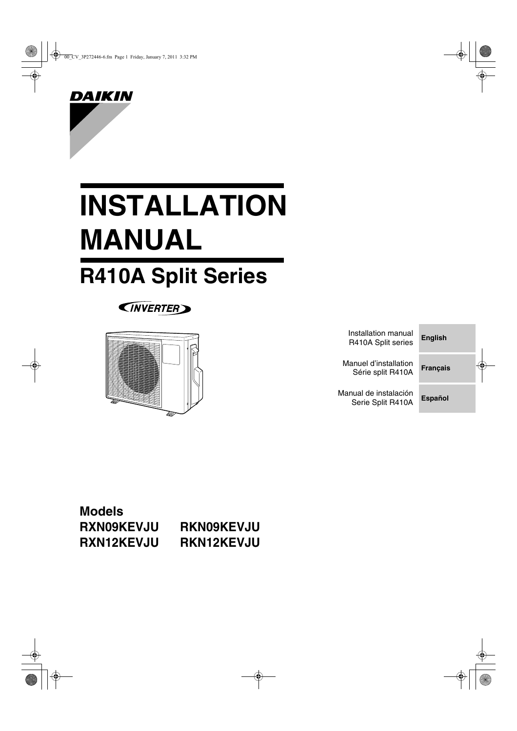

# **INSTALLATION MANUAL**

## **R410A Split Series**





| Installation manual<br>R410A Split series  | <b>English</b>  |  |  |
|--------------------------------------------|-----------------|--|--|
| Manuel d'installation<br>Série split R410A | <b>Français</b> |  |  |
| Manual de instalación<br>Serie Split R410A | <b>Español</b>  |  |  |

### **Models RXN09KEVJU RKN09KEVJU RXN12KEVJU RKN12KEVJU**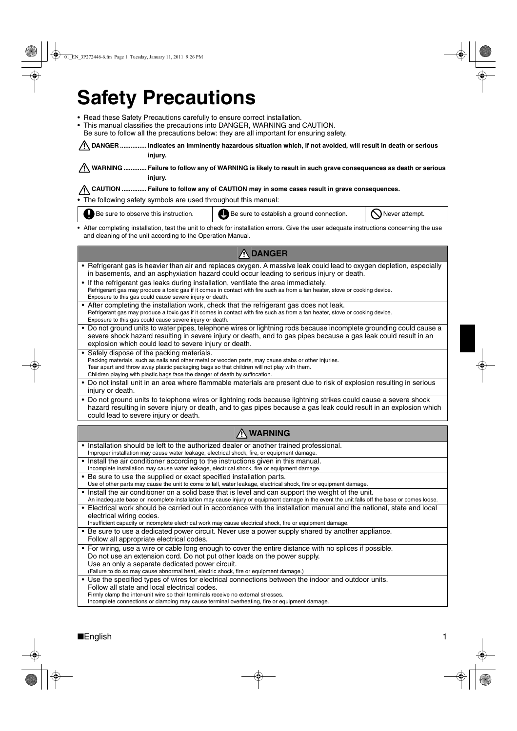## **Safety Precautions**

• Read these Safety Precautions carefully to ensure correct installation.

• This manual classifies the precautions into DANGER, WARNING and CAUTION.

Be sure to follow all the precautions below: they are all important for ensuring safety.

**DANGER ............... Indicates an imminently hazardous situation which, if not avoided, will result in death or serious injury.**

**WARNING ............. Failure to follow any of WARNING is likely to result in such grave consequences as death or serious injury.**

**CAUTION .............. Failure to follow any of CAUTION may in some cases result in grave consequences.**

• The following safety symbols are used throughout this manual:

Be sure to observe this instruction.  $\|\bigoplus$  Be sure to establish a ground connection.  $\|\bigotimes$  Never attempt.

• After completing installation, test the unit to check for installation errors. Give the user adequate instructions concerning the use and cleaning of the unit according to the Operation Manual.

| <b>A DANGER</b>                                                                                                                                                                                                                                                                                                                 |
|---------------------------------------------------------------------------------------------------------------------------------------------------------------------------------------------------------------------------------------------------------------------------------------------------------------------------------|
| • Refrigerant gas is heavier than air and replaces oxygen. A massive leak could lead to oxygen depletion, especially                                                                                                                                                                                                            |
| in basements, and an asphyxiation hazard could occur leading to serious injury or death.                                                                                                                                                                                                                                        |
| • If the refrigerant gas leaks during installation, ventilate the area immediately.<br>Refrigerant gas may produce a toxic gas if it comes in contact with fire such as from a fan heater, stove or cooking device.<br>Exposure to this gas could cause severe injury or death.                                                 |
| • After completing the installation work, check that the refrigerant gas does not leak.<br>Refrigerant gas may produce a toxic gas if it comes in contact with fire such as from a fan heater, stove or cooking device.<br>Exposure to this gas could cause severe injury or death.                                             |
| • Do not ground units to water pipes, telephone wires or lightning rods because incomplete grounding could cause a<br>severe shock hazard resulting in severe injury or death, and to gas pipes because a gas leak could result in an<br>explosion which could lead to severe injury or death.                                  |
| • Safely dispose of the packing materials.<br>Packing materials, such as nails and other metal or wooden parts, may cause stabs or other injuries.<br>Tear apart and throw away plastic packaging bags so that children will not play with them.<br>Children playing with plastic bags face the danger of death by suffocation. |
| • Do not install unit in an area where flammable materials are present due to risk of explosion resulting in serious<br>injury or death.                                                                                                                                                                                        |
| • Do not ground units to telephone wires or lightning rods because lightning strikes could cause a severe shock<br>hazard resulting in severe injury or death, and to gas pipes because a gas leak could result in an explosion which<br>could lead to severe injury or death.                                                  |
|                                                                                                                                                                                                                                                                                                                                 |
| <b>A WARNING</b>                                                                                                                                                                                                                                                                                                                |
| • Installation should be left to the authorized dealer or another trained professional.<br>Improper installation may cause water leakage, electrical shock, fire, or equipment damage.                                                                                                                                          |
| • Install the air conditioner according to the instructions given in this manual.<br>Incomplete installation may cause water leakage, electrical shock, fire or equipment damage.                                                                                                                                               |
| • Be sure to use the supplied or exact specified installation parts.<br>Use of other parts may cause the unit to come to fall, water leakage, electrical shock, fire or equipment damage.                                                                                                                                       |
| • Install the air conditioner on a solid base that is level and can support the weight of the unit.<br>An inadequate base or incomplete installation may cause injury or equipment damage in the event the unit falls off the base or comes loose.                                                                              |
| • Electrical work should be carried out in accordance with the installation manual and the national, state and local<br>electrical wiring codes.                                                                                                                                                                                |
| Insufficient capacity or incomplete electrical work may cause electrical shock, fire or equipment damage.<br>• Be sure to use a dedicated power circuit. Never use a power supply shared by another appliance.                                                                                                                  |
| Follow all appropriate electrical codes.<br>• For wiring, use a wire or cable long enough to cover the entire distance with no splices if possible.                                                                                                                                                                             |
| Do not use an extension cord. Do not put other loads on the power supply.<br>Use an only a separate dedicated power circuit.                                                                                                                                                                                                    |
| (Failure to do so may cause abnormal heat, electric shock, fire or equipment damage.)                                                                                                                                                                                                                                           |
| • Use the specified types of wires for electrical connections between the indoor and outdoor units.<br>Follow all state and local electrical codes.<br>Firmly clamp the inter-unit wire so their terminals receive no external stresses.                                                                                        |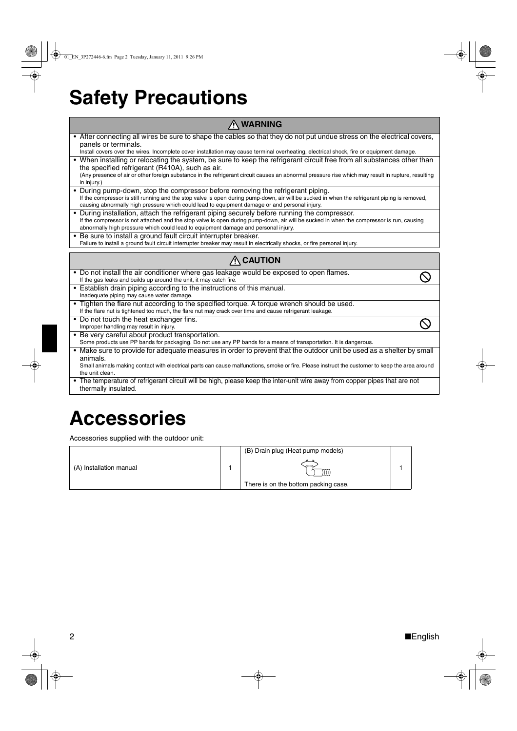## **Safety Precautions**

#### **WARNING**

| • After connecting all wires be sure to shape the cables so that they do not put undue stress on the electrical covers,<br>panels or terminals.                                                                                                |
|------------------------------------------------------------------------------------------------------------------------------------------------------------------------------------------------------------------------------------------------|
| Install covers over the wires. Incomplete cover installation may cause terminal overheating, electrical shock, fire or equipment damage.                                                                                                       |
| • When installing or relocating the system, be sure to keep the refrigerant circuit free from all substances other than<br>the specified refrigerant (R410A), such as air.                                                                     |
| (Any presence of air or other foreign substance in the refrigerant circuit causes an abnormal pressure rise which may result in rupture, resulting<br>in injury.)                                                                              |
| • During pump-down, stop the compressor before removing the refrigerant piping.                                                                                                                                                                |
| If the compressor is still running and the stop valve is open during pump-down, air will be sucked in when the refrigerant piping is removed,<br>causing abnormally high pressure which could lead to equipment damage or and personal injury. |
| • During installation, attach the refrigerant piping securely before running the compressor.                                                                                                                                                   |
| If the compressor is not attached and the stop valve is open during pump-down, air will be sucked in when the compressor is run, causing<br>abnormally high pressure which could lead to equipment damage and personal injury.                 |
| • Be sure to install a ground fault circuit interrupter breaker.                                                                                                                                                                               |
| Failure to install a ground fault circuit interrupter breaker may result in electrically shocks, or fire personal injury.                                                                                                                      |
|                                                                                                                                                                                                                                                |
| $\bigwedge$ CAUTION                                                                                                                                                                                                                            |
| • Do not install the air conditioner where gas leakage would be exposed to open flames.                                                                                                                                                        |
| If the gas leaks and builds up around the unit, it may catch fire.                                                                                                                                                                             |
| • Establish drain piping according to the instructions of this manual.                                                                                                                                                                         |
| Inadequate piping may cause water damage.                                                                                                                                                                                                      |
| • Tighten the flare nut according to the specified torque. A torque wrench should be used.<br>If the flare nut is tightened too much, the flare nut may crack over time and cause refrigerant leakage.                                         |
| • Do not touch the heat exchanger fins.                                                                                                                                                                                                        |
| Improper handling may result in injury.                                                                                                                                                                                                        |
| • Be very careful about product transportation.                                                                                                                                                                                                |
| Some products use PP bands for packaging. Do not use any PP bands for a means of transportation. It is dangerous.                                                                                                                              |
| • Make sure to provide for adequate measures in order to prevent that the outdoor unit be used as a shelter by small<br>animals.                                                                                                               |
| Small animals making contact with electrical parts can cause malfunctions, smoke or fire. Please instruct the customer to keep the area around<br>the unit clean.                                                                              |
| • The temperature of refrigerant circuit will be high, please keep the inter-unit wire away from copper pipes that are not                                                                                                                     |
| thermally insulated.                                                                                                                                                                                                                           |

## **Accessories**

Accessories supplied with the outdoor unit:

|                         | (B) Drain plug (Heat pump models)    |  |
|-------------------------|--------------------------------------|--|
| (A) Installation manual |                                      |  |
|                         | There is on the bottom packing case. |  |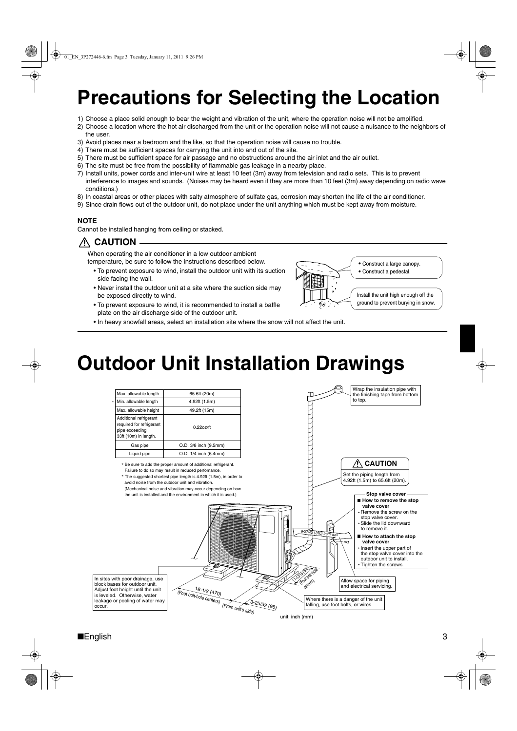## **Precautions for Selecting the Location**

- 1) Choose a place solid enough to bear the weight and vibration of the unit, where the operation noise will not be amplified.
- 2) Choose a location where the hot air discharged from the unit or the operation noise will not cause a nuisance to the neighbors of the user.
- 3) Avoid places near a bedroom and the like, so that the operation noise will cause no trouble.
- 4) There must be sufficient spaces for carrying the unit into and out of the site.
- 5) There must be sufficient space for air passage and no obstructions around the air inlet and the air outlet.
- 6) The site must be free from the possibility of flammable gas leakage in a nearby place.
- 7) Install units, power cords and inter-unit wire at least 10 feet (3m) away from television and radio sets. This is to prevent interference to images and sounds. (Noises may be heard even if they are more than 10 feet (3m) away depending on radio wave conditions.)
- 8) In coastal areas or other places with salty atmosphere of sulfate gas, corrosion may shorten the life of the air conditioner.
- 9) Since drain flows out of the outdoor unit, do not place under the unit anything which must be kept away from moisture.

#### **NOTE**

Cannot be installed hanging from ceiling or stacked.

 **CAUTION**

When operating the air conditioner in a low outdoor ambient temperature, be sure to follow the instructions described below.

- To prevent exposure to wind, install the outdoor unit with its suction side facing the wall.
- Never install the outdoor unit at a site where the suction side may be exposed directly to wind.
- To prevent exposure to wind, it is recommended to install a baffle plate on the air discharge side of the outdoor unit.
- Construct a large canopy. Construct a pedestal. Install the unit high enough off the ground to prevent burying in snow. ें
- In heavy snowfall areas, select an installation site where the snow will not affect the unit.

## **Outdoor Unit Installation Drawings**

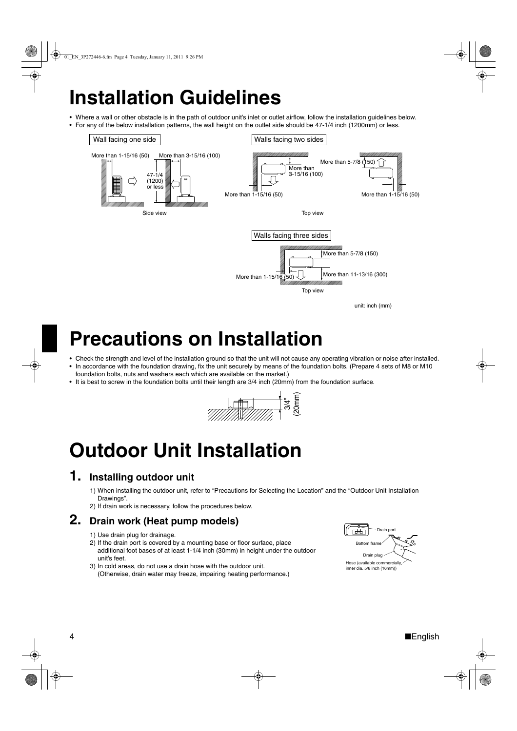## **Installation Guidelines**

• Where a wall or other obstacle is in the path of outdoor unit's inlet or outlet airflow, follow the installation guidelines below. • For any of the below installation patterns, the wall height on the outlet side should be 47-1/4 inch (1200mm) or less.



## **Precautions on Installation**

- Check the strength and level of the installation ground so that the unit will not cause any operating vibration or noise after installed. • In accordance with the foundation drawing, fix the unit securely by means of the foundation bolts. (Prepare 4 sets of M8 or M10
- foundation bolts, nuts and washers each which are available on the market.)
- It is best to screw in the foundation bolts until their length are 3/4 inch (20mm) from the foundation surface.



## **Outdoor Unit Installation**

### **1. Installing outdoor unit**

- 1) When installing the outdoor unit, refer to "Precautions for Selecting the Location" and the "Outdoor Unit Installation Drawings".
- 2) If drain work is necessary, follow the procedures below.

#### **2. Drain work (Heat pump models)**

- 1) Use drain plug for drainage.
- 2) If the drain port is covered by a mounting base or floor surface, place additional foot bases of at least 1-1/4 inch (30mm) in height under the outdoor unit's feet.
- 3) In cold areas, do not use a drain hose with the outdoor unit. (Otherwise, drain water may freeze, impairing heating performance.)

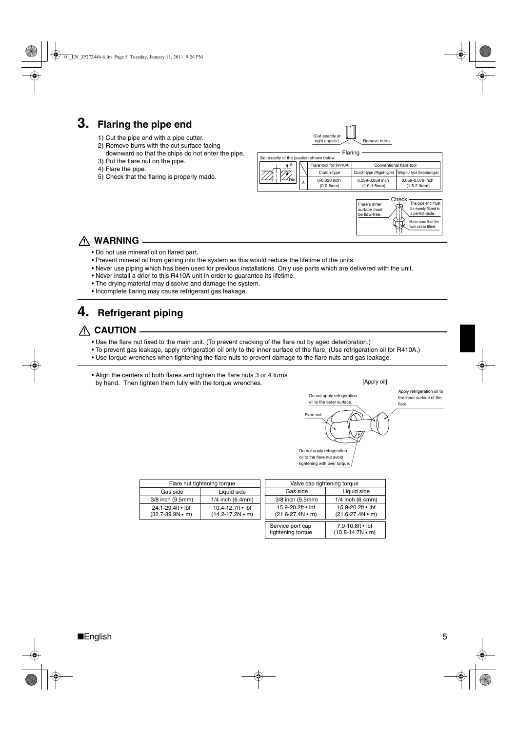### **3. Flaring the pipe end**

- 1) Cut the pipe end with a pipe cutter.
- 2) Remove burrs with the cut surface facing
- downward so that the chips do not enter the pipe. 3) Put the flare nut on the pipe.
- 4) Flare the pipe.
- 5) Check that the flaring is properly made.



Ú

### **WARNING**

- Do not use mineral oil on flared part.
- Prevent mineral oil from getting into the system as this would reduce the lifetime of the units.
- Never use piping which has been used for previous installations. Only use parts which are delivered with the unit.
- Never install a drier to this R410A unit in order to guarantee its lifetime.
- The drying material may dissolve and damage the system.
- Incomplete flaring may cause refrigerant gas leakage.

### **4. Refrigerant piping**

#### **CAUTION**

- Use the flare nut fixed to the main unit. (To prevent cracking of the flare nut by aged deterioration.)
- To prevent gas leakage, apply refrigeration oil only to the inner surface of the flare. (Use refrigeration oil for R410A.)
- Use torque wrenches when tightening the flare nuts to prevent damage to the flare nuts and gas leakage.
- Align the centers of both flares and tighten the flare nuts 3 or 4 turns by hand. Then tighten them fully with the torque wrenches.



| Flare nut tightening torque |                          |  |  |
|-----------------------------|--------------------------|--|--|
| Gas side                    | Liquid side              |  |  |
| 3/8 inch (9.5mm)            | $1/4$ inch $(6.4$ mm $)$ |  |  |
| 24.1-29.4ft • lbf           | 10.4-12.7ft $\cdot$ lbf  |  |  |
| $(32.7 - 39.9N \cdot m)$    | $(14.2 - 17.2N \cdot m)$ |  |  |

| Valve cap tightening torque                   |                                               |  |  |
|-----------------------------------------------|-----------------------------------------------|--|--|
| Gas side                                      | Liquid side                                   |  |  |
| 3/8 inch (9.5mm)                              | $1/4$ inch (6.4mm)                            |  |  |
| 15.9-20.2ft • lbf<br>$(21.6 - 27.4N \cdot m)$ | 15.9-20.2ft . lbf<br>$(21.6 - 27.4N \cdot m)$ |  |  |
| Service port cap<br>tightening torque         | 7.9-10.8ft • lbf<br>$(10.8 - 14.7N \cdot m)$  |  |  |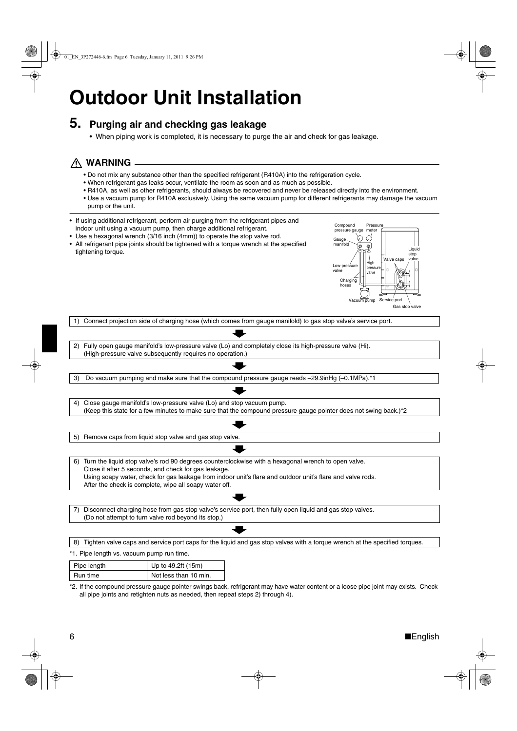## **Outdoor Unit Installation**

#### **5. Purging air and checking gas leakage**

• When piping work is completed, it is necessary to purge the air and check for gas leakage.

#### **WARNING**

- Do not mix any substance other than the specified refrigerant (R410A) into the refrigeration cycle.
- When refrigerant gas leaks occur, ventilate the room as soon and as much as possible.
- R410A, as well as other refrigerants, should always be recovered and never be released directly into the environment.
- Use a vacuum pump for R410A exclusively. Using the same vacuum pump for different refrigerants may damage the vacuum pump or the unit.
- If using additional refrigerant, perform air purging from the refrigerant pipes and indoor unit using a vacuum pump, then charge additional refrigerant.
- Use a hexagonal wrench (3/16 inch (4mm)) to operate the stop valve rod.
- All refrigerant pipe joints should be tightened with a torque wrench at the specified tightening torque.



1) Connect projection side of charging hose (which comes from gauge manifold) to gas stop valve's service port.

2) Fully open gauge manifold's low-pressure valve (Lo) and completely close its high-pressure valve (Hi). (High-pressure valve subsequently requires no operation.)

3) Do vacuum pumping and make sure that the compound pressure gauge reads –29.9inHg (–0.1MPa).\*1

4) Close gauge manifold's low-pressure valve (Lo) and stop vacuum pump. (Keep this state for a few minutes to make sure that the compound pressure gauge pointer does not swing back.)\*2

5) Remove caps from liquid stop valve and gas stop valve.

6) Turn the liquid stop valve's rod 90 degrees counterclockwise with a hexagonal wrench to open valve. Close it after 5 seconds, and check for gas leakage. Using soapy water, check for gas leakage from indoor unit's flare and outdoor unit's flare and valve rods. After the check is complete, wipe all soapy water off.

7) Disconnect charging hose from gas stop valve's service port, then fully open liquid and gas stop valves. (Do not attempt to turn valve rod beyond its stop.)

8) Tighten valve caps and service port caps for the liquid and gas stop valves with a torque wrench at the specified torques.

\*1. Pipe length vs. vacuum pump run time.

| Pipe length | Up to 49.2ft (15m)    |  |
|-------------|-----------------------|--|
| Run time    | Not less than 10 min. |  |

\*2. If the compound pressure gauge pointer swings back, refrigerant may have water content or a loose pipe joint may exists. Check all pipe joints and retighten nuts as needed, then repeat steps 2) through 4).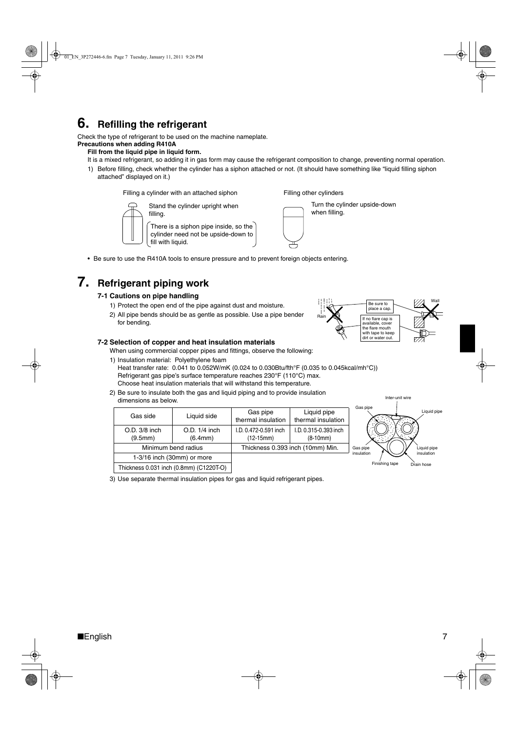### **6. Refilling the refrigerant**

Check the type of refrigerant to be used on the machine nameplate.

#### **Precautions when adding R410A Fill from the liquid pipe in liquid form.**

#### It is a mixed refrigerant, so adding it in gas form may cause the refrigerant composition to change, preventing normal operation.

1) Before filling, check whether the cylinder has a siphon attached or not. (It should have something like "liquid filling siphon attached" displayed on it.)

Filling a cylinder with an attached siphon



Stand the cylinder upright when filling. There is a siphon pipe inside, so the cylinder need not be upside-down to fill with liquid.

Filling other cylinders Turn the cylinder upside-down

when filling.

• Be sure to use the R410A tools to ensure pressure and to prevent foreign objects entering.

### **7. Refrigerant piping work**

#### **7-1 Cautions on pipe handling**

- 1) Protect the open end of the pipe against dust and moisture.
- 2) All pipe bends should be as gentle as possible. Use a pipe bender for bending.

#### **7-2 Selection of copper and heat insulation materials**

When using commercial copper pipes and fittings, observe the following:

1) Insulation material: Polyethylene foam

Heat transfer rate: 0.041 to 0.052W/mK (0.024 to 0.030Btu/fth°F (0.035 to 0.045kcal/mh°C)) Refrigerant gas pipe's surface temperature reaches 230°F (110°C) max. Choose heat insulation materials that will withstand this temperature.

2) Be sure to insulate both the gas and liquid piping and to provide insulation dimensions as below.

| Gas side                 | Liquid side                             | Gas pipe<br>thermal insulation       | Liquid pipe<br>thermal insulation   | Gas pipe       | Liquid p    |
|--------------------------|-----------------------------------------|--------------------------------------|-------------------------------------|----------------|-------------|
| O.D. 3/8 inch<br>(9.5mm) | $O.D. 1/4$ inch<br>(6.4mm)              | I.D. 0.472-0.591 inch<br>$(12-15mm)$ | I.D. 0.315-0.393 inch<br>$(8-10mm)$ |                |             |
|                          | Minimum bend radius                     |                                      | Thickness 0.393 inch (10mm) Min.    | Gas pipe       | Liquid pipe |
|                          | 1-3/16 inch (30mm) or more              |                                      |                                     | insulation     | insulation  |
|                          | Thickness 0.031 inch (0.8mm) (C1220T-O) |                                      |                                     | Finishing tape | Drain hose  |

3) Use separate thermal insulation pipes for gas and liquid refrigerant pipes.



Inter-unit wire

Liquid pipe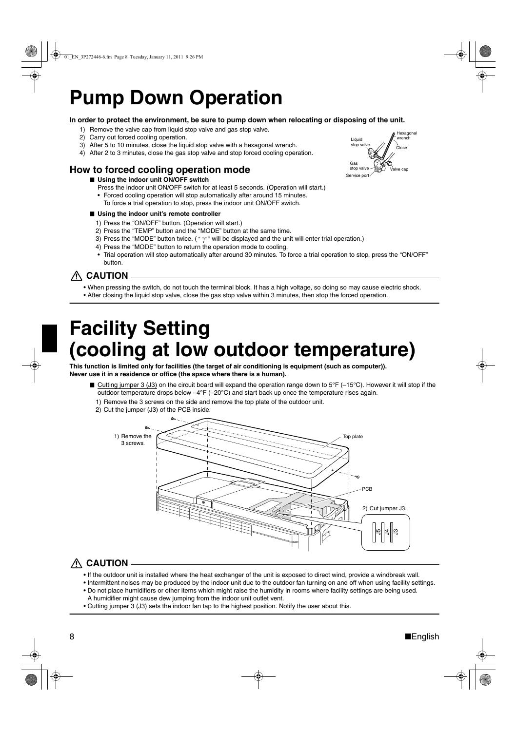## **Pump Down Operation**

#### **In order to protect the environment, be sure to pump down when relocating or disposing of the unit.**

- 1) Remove the valve cap from liquid stop valve and gas stop valve.
- 2) Carry out forced cooling operation.
- 3) After 5 to 10 minutes, close the liquid stop valve with a hexagonal wrench.
- 4) After 2 to 3 minutes, close the gas stop valve and stop forced cooling operation.

#### **How to forced cooling operation mode**

- Using the indoor unit ON/OFF switch
	- Press the indoor unit ON/OFF switch for at least 5 seconds. (Operation will start.)
	- Forced cooling operation will stop automatically after around 15 minutes. To force a trial operation to stop, press the indoor unit ON/OFF switch.

#### ■ Using the indoor unit's remote controller

- 1) Press the "ON/OFF" button. (Operation will start.)
- 2) Press the "TEMP" button and the "MODE" button at the same time.
- 3) Press the "MODE" button twice. (" $\tau$ " will be displayed and the unit will enter trial operation.)
- 4) Press the "MODE" button to return the operation mode to cooling.
- Trial operation will stop automatically after around 30 minutes. To force a trial operation to stop, press the "ON/OFF" button.

#### **CAUTION**

- When pressing the switch, do not touch the terminal block. It has a high voltage, so doing so may cause electric shock.
- After closing the liquid stop valve, close the gas stop valve within 3 minutes, then stop the forced operation.

## **Facility Setting (cooling at low outdoor temperature)**

**This function is limited only for facilities (the target of air conditioning is equipment (such as computer)). Never use it in a residence or office (the space where there is a human).**

- Cutting jumper 3 (J3) on the circuit board will expand the operation range down to 5°F (-15°C). However it will stop if the outdoor temperature drops below –4°F (–20°C) and start back up once the temperature rises again.
	- 1) Remove the 3 screws on the side and remove the top plate of the outdoor unit.
	- 2) Cut the jumper (J3) of the PCB inside.



### **CAUTION**

- If the outdoor unit is installed where the heat exchanger of the unit is exposed to direct wind, provide a windbreak wall.
- Intermittent noises may be produced by the indoor unit due to the outdoor fan turning on and off when using facility settings. • Do not place humidifiers or other items which might raise the humidity in rooms where facility settings are being used. A humidifier might cause dew jumping from the indoor unit outlet vent.
- Cutting jumper 3 (J3) sets the indoor fan tap to the highest position. Notify the user about this.

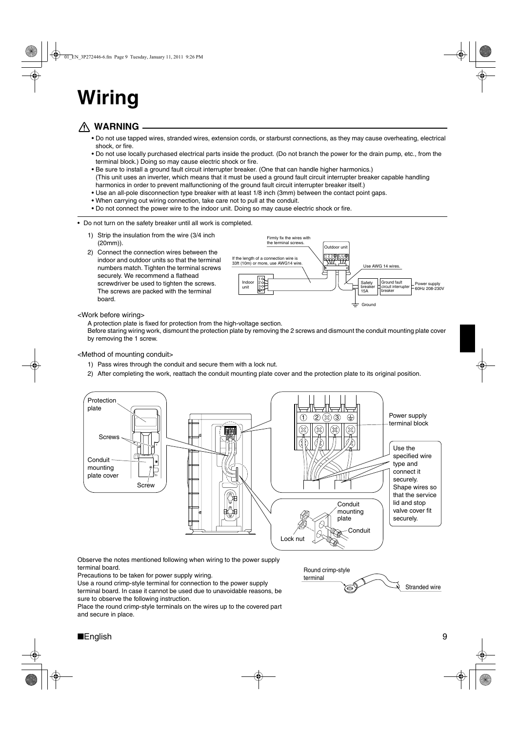## **Wiring**

### **WARNING**

- Do not use tapped wires, stranded wires, extension cords, or starburst connections, as they may cause overheating, electrical shock, or fire.
- Do not use locally purchased electrical parts inside the product. (Do not branch the power for the drain pump, etc., from the terminal block.) Doing so may cause electric shock or fire.
- Be sure to install a ground fault circuit interrupter breaker. (One that can handle higher harmonics.) (This unit uses an inverter, which means that it must be used a ground fault circuit interrupter breaker capable handling harmonics in order to prevent malfunctioning of the ground fault circuit interrupter breaker itself.)
- Use an all-pole disconnection type breaker with at least 1/8 inch (3mm) between the contact point gaps.
- When carrying out wiring connection, take care not to pull at the conduit.
- Do not connect the power wire to the indoor unit. Doing so may cause electric shock or fire.
- Do not turn on the safety breaker until all work is completed.
	- 1) Strip the insulation from the wire (3/4 inch (20mm)).
	- 2) Connect the connection wires between the indoor and outdoor units so that the terminal numbers match. Tighten the terminal screws securely. We recommend a flathead screwdriver be used to tighten the screws. The screws are packed with the terminal board.



#### <Work before wiring>

A protection plate is fixed for protection from the high-voltage section.

Before staring wiring work, dismount the protection plate by removing the 2 screws and dismount the conduit mounting plate cover by removing the 1 screw.

#### <Method of mounting conduit>

- 1) Pass wires through the conduit and secure them with a lock nut.
- 2) After completing the work, reattach the conduit mounting plate cover and the protection plate to its original position.



Observe the notes mentioned following when wiring to the power supply terminal board.

Precautions to be taken for power supply wiring.

Use a round crimp-style terminal for connection to the power supply

terminal board. In case it cannot be used due to unavoidable reasons, be sure to observe the following instruction.

Place the round crimp-style terminals on the wires up to the covered part and secure in place.

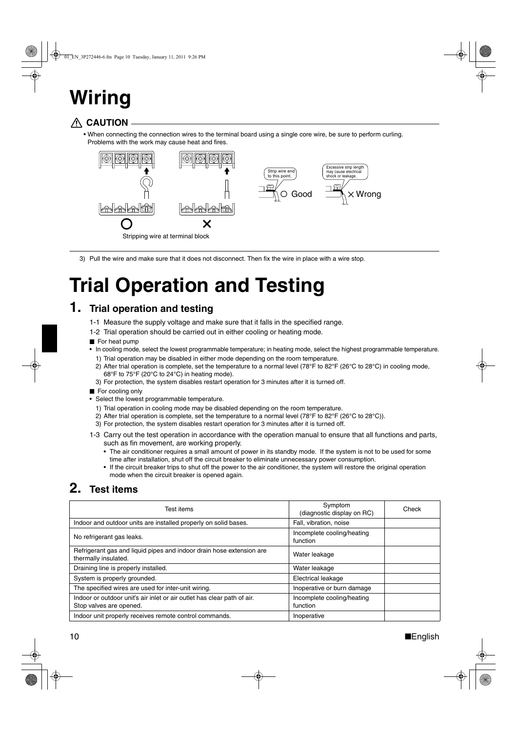## **Wiring**

### **CAUTION**

• When connecting the connection wires to the terminal board using a single core wire, be sure to perform curling. Problems with the work may cause heat and fires.



3) Pull the wire and make sure that it does not disconnect. Then fix the wire in place with a wire stop.

## **Trial Operation and Testing**

### **1. Trial operation and testing**

- 1-1 Measure the supply voltage and make sure that it falls in the specified range.
- 1-2 Trial operation should be carried out in either cooling or heating mode.
- For heat pump
- In cooling mode, select the lowest programmable temperature; in heating mode, select the highest programmable temperature.
	- 1) Trial operation may be disabled in either mode depending on the room temperature.
	- 2) After trial operation is complete, set the temperature to a normal level (78°F to 82°F (26°C to 28°C) in cooling mode, 68°F to 75°F (20°C to 24°C) in heating mode).
	- 3) For protection, the system disables restart operation for 3 minutes after it is turned off.
- For cooling only
- Select the lowest programmable temperature.
	- 1) Trial operation in cooling mode may be disabled depending on the room temperature.
	- 2) After trial operation is complete, set the temperature to a normal level (78°F to 82°F (26°C to 28°C)).
	- 3) For protection, the system disables restart operation for 3 minutes after it is turned off.
- 1-3 Carry out the test operation in accordance with the operation manual to ensure that all functions and parts, such as fin movement, are working properly.
	- The air conditioner requires a small amount of power in its standby mode. If the system is not to be used for some time after installation, shut off the circuit breaker to eliminate unnecessary power consumption.
	- If the circuit breaker trips to shut off the power to the air conditioner, the system will restore the original operation mode when the circuit breaker is opened again.

### **2. Test items**

| Test items                                                                                         | Symptom<br>(diagnostic display on RC)  | Check |
|----------------------------------------------------------------------------------------------------|----------------------------------------|-------|
| Indoor and outdoor units are installed properly on solid bases.                                    | Fall, vibration, noise                 |       |
| No refrigerant gas leaks.                                                                          | Incomplete cooling/heating<br>function |       |
| Refrigerant gas and liquid pipes and indoor drain hose extension are<br>thermally insulated.       | Water leakage                          |       |
| Draining line is properly installed.                                                               | Water leakage                          |       |
| System is properly grounded.                                                                       | Electrical leakage                     |       |
| The specified wires are used for inter-unit wiring.                                                | Inoperative or burn damage             |       |
| Indoor or outdoor unit's air inlet or air outlet has clear path of air.<br>Stop valves are opened. | Incomplete cooling/heating<br>function |       |
| Indoor unit properly receives remote control commands.                                             | Inoperative                            |       |